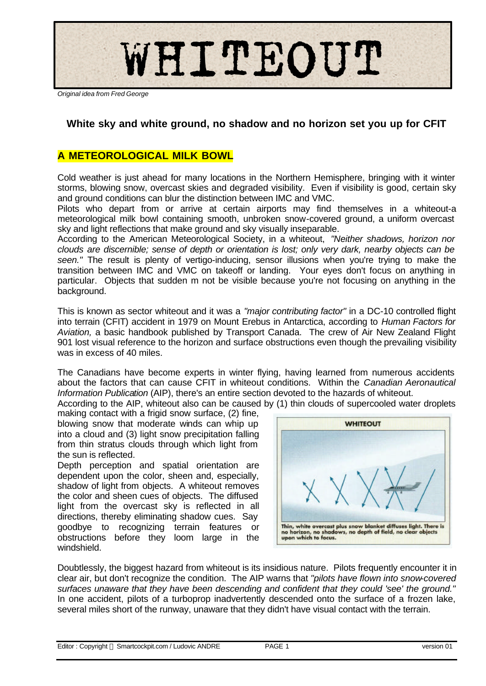

*Original idea from Fred George*

# **White sky and white ground, no shadow and no horizon set you up for CFIT**

### **A METEOROLOGICAL MILK BOWL**

Cold weather is just ahead for many locations in the Northern Hemisphere, bringing with it winter storms, blowing snow, overcast skies and degraded visibility. Even if visibility is good, certain sky and ground conditions can blur the distinction between IMC and VMC.

Pilots who depart from or arrive at certain airports may find themselves in a whiteout-a meteorological milk bowl containing smooth, unbroken snow-covered ground, a uniform overcast sky and light reflections that make ground and sky visually inseparable.

According to the American Meteorological Society, in a whiteout, *"Neither shadows, horizon nor clouds are discernible; sense of depth or orientation is lost; only very dark, nearby objects can be seen."* The result is plenty of vertigo-inducing, sensor illusions when you're trying to make the transition between IMC and VMC on takeoff or landing. Your eyes don't focus on anything in particular. Objects that sudden m not be visible because you're not focusing on anything in the background.

This is known as sector whiteout and it was a *"major contributing factor"* in a DC-10 controlled flight into terrain (CFIT) accident in 1979 on Mount Erebus in Antarctica, according to *Human Factors for Aviation,* a basic handbook published by Transport Canada. The crew of Air New Zealand Flight 901 lost visual reference to the horizon and surface obstructions even though the prevailing visibility was in excess of 40 miles.

The Canadians have become experts in winter flying, having learned from numerous accidents about the factors that can cause CFIT in whiteout conditions. Within the *Canadian Aeronautical Information Publication* (AIP), there's an entire section devoted to the hazards of whiteout.

According to the AIP, whiteout also can be caused by (1) thin clouds of supercooled water droplets

making contact with a frigid snow surface, (2) fine, blowing snow that moderate winds can whip up into a cloud and (3) light snow precipitation falling from thin stratus clouds through which light from the sun is reflected.

Depth perception and spatial orientation are dependent upon the color, sheen and, especially, shadow of light from objects. A whiteout removes the color and sheen cues of objects. The diffused light from the overcast sky is reflected in all directions, thereby eliminating shadow cues. Say goodbye to recognizing terrain features or obstructions before they loom large in the windshield.



Doubtlessly, the biggest hazard from whiteout is its insidious nature. Pilots frequently encounter it in clear air, but don't recognize the condition. The AIP warns that *"pilots have flown into snow-covered surfaces unaware that they have been descending and confident that they could 'see' the ground."* In one accident, pilots of a turboprop inadvertently descended onto the surface of a frozen lake, several miles short of the runway, unaware that they didn't have visual contact with the terrain.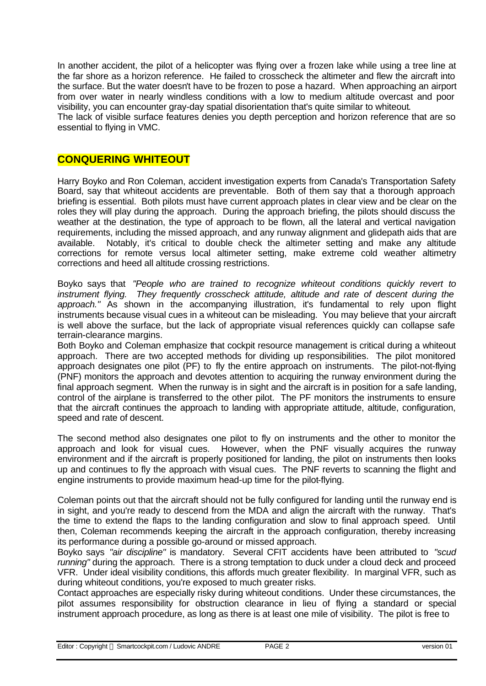In another accident, the pilot of a helicopter was flying over a frozen lake while using a tree line at the far shore as a horizon reference. He failed to crosscheck the altimeter and flew the aircraft into the surface. But the water doesn't have to be frozen to pose a hazard. When approaching an airport from over water in nearly windless conditions with a low to medium altitude overcast and poor visibility, you can encounter gray-day spatial disorientation that's quite similar to whiteout. The lack of visible surface features denies you depth perception and horizon reference that are so

essential to flying in VMC.

### **CONQUERING WHITEOUT**

Harry Boyko and Ron Coleman, accident investigation experts from Canada's Transportation Safety Board, say that whiteout accidents are preventable. Both of them say that a thorough approach briefing is essential. Both pilots must have current approach plates in clear view and be clear on the roles they will play during the approach. During the approach briefing, the pilots should discuss the weather at the destination, the type of approach to be flown, all the lateral and vertical navigation requirements, including the missed approach, and any runway alignment and glidepath aids that are available. Notably, it's critical to double check the altimeter setting and make any altitude corrections for remote versus local altimeter setting, make extreme cold weather altimetry corrections and heed all altitude crossing restrictions.

Boyko says that *"People who are trained to recognize whiteout conditions quickly revert to instrument flying. They frequently crosscheck attitude, altitude and rate of descent during the approach."* As shown in the accompanying illustration, it's fundamental to rely upon flight instruments because visual cues in a whiteout can be misleading. You may believe that your aircraft is well above the surface, but the lack of appropriate visual references quickly can collapse safe terrain-clearance margins.

Both Boyko and Coleman emphasize that cockpit resource management is critical during a whiteout approach. There are two accepted methods for dividing up responsibilities. The pilot monitored approach designates one pilot (PF) to fly the entire approach on instruments. The pilot-not-flying (PNF) monitors the approach and devotes attention to acquiring the runway environment during the final approach segment. When the runway is in sight and the aircraft is in position for a safe landing, control of the airplane is transferred to the other pilot. The PF monitors the instruments to ensure that the aircraft continues the approach to landing with appropriate attitude, altitude, configuration, speed and rate of descent.

The second method also designates one pilot to fly on instruments and the other to monitor the approach and look for visual cues. However, when the PNF visually acquires the runway environment and if the aircraft is properly positioned for landing, the pilot on instruments then looks up and continues to fly the approach with visual cues. The PNF reverts to scanning the flight and engine instruments to provide maximum head-up time for the pilot-flying.

Coleman points out that the aircraft should not be fully configured for landing until the runway end is in sight, and you're ready to descend from the MDA and align the aircraft with the runway. That's the time to extend the flaps to the landing configuration and slow to final approach speed. Until then, Coleman recommends keeping the aircraft in the approach configuration, thereby increasing its performance during a possible go-around or missed approach.

Boyko says *"air discipline"* is mandatory. Several CFIT accidents have been attributed to *"scud running"* during the approach. There is a strong temptation to duck under a cloud deck and proceed VFR. Under ideal visibility conditions, this affords much greater flexibility. In marginal VFR, such as during whiteout conditions, you're exposed to much greater risks.

Contact approaches are especially risky during whiteout conditions. Under these circumstances, the pilot assumes responsibility for obstruction clearance in lieu of flying a standard or special instrument approach procedure, as long as there is at least one mile of visibility. The pilot is free to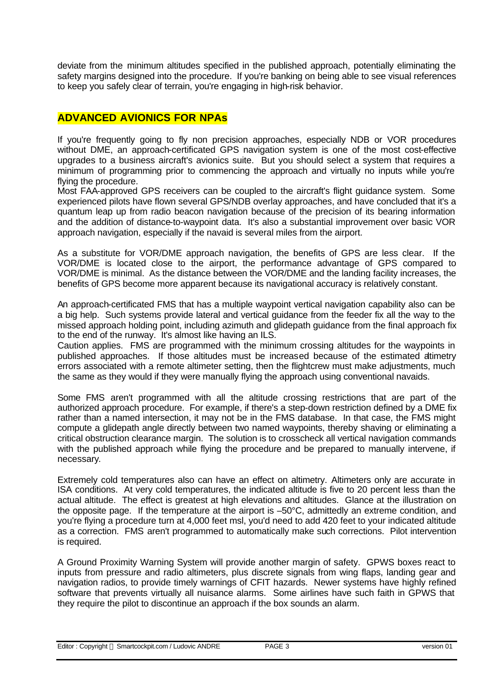deviate from the minimum altitudes specified in the published approach, potentially eliminating the safety margins designed into the procedure. If you're banking on being able to see visual references to keep you safely clear of terrain, you're engaging in high-risk behavior.

## **ADVANCED AVIONICS FOR NPAs**

If you're frequently going to fly non precision approaches, especially NDB or VOR procedures without DME, an approach-certificated GPS navigation system is one of the most cost-effective upgrades to a business aircraft's avionics suite. But you should select a system that requires a minimum of programming prior to commencing the approach and virtually no inputs while you're flying the procedure.

Most FAA-approved GPS receivers can be coupled to the aircraft's flight guidance system. Some experienced pilots have flown several GPS/NDB overlay approaches, and have concluded that it's a quantum leap up from radio beacon navigation because of the precision of its bearing information and the addition of distance-to-waypoint data. It's also a substantial improvement over basic VOR approach navigation, especially if the navaid is several miles from the airport.

As a substitute for VOR/DME approach navigation, the benefits of GPS are less clear. If the VOR/DME is located close to the airport, the performance advantage of GPS compared to VOR/DME is minimal. As the distance between the VOR/DME and the landing facility increases, the benefits of GPS become more apparent because its navigational accuracy is relatively constant.

An approach-certificated FMS that has a multiple waypoint vertical navigation capability also can be a big help. Such systems provide lateral and vertical guidance from the feeder fix all the way to the missed approach holding point, including azimuth and glidepath guidance from the final approach fix to the end of the runway. It's almost like having an ILS.

Caution applies. FMS are programmed with the minimum crossing altitudes for the waypoints in published approaches. If those altitudes must be increased because of the estimated altimetry errors associated with a remote altimeter setting, then the flightcrew must make adjustments, much the same as they would if they were manually flying the approach using conventional navaids.

Some FMS aren't programmed with all the altitude crossing restrictions that are part of the authorized approach procedure. For example, if there's a step-down restriction defined by a DME fix rather than a named intersection, it may not be in the FMS database. In that case, the FMS might compute a glidepath angle directly between two named waypoints, thereby shaving or eliminating a critical obstruction clearance margin. The solution is to crosscheck all vertical navigation commands with the published approach while flying the procedure and be prepared to manually intervene, if necessary.

Extremely cold temperatures also can have an effect on altimetry. Altimeters only are accurate in ISA conditions. At very cold temperatures, the indicated altitude is five to 20 percent less than the actual altitude. The effect is greatest at high elevations and altitudes. Glance at the illustration on the opposite page. If the temperature at the airport is –50°C, admittedly an extreme condition, and you're flying a procedure turn at 4,000 feet msl, you'd need to add 420 feet to your indicated altitude as a correction. FMS aren't programmed to automatically make such corrections. Pilot intervention is required.

A Ground Proximity Warning System will provide another margin of safety. GPWS boxes react to inputs from pressure and radio altimeters, plus discrete signals from wing flaps, landing gear and navigation radios, to provide timely warnings of CFIT hazards. Newer systems have highly refined software that prevents virtually all nuisance alarms. Some airlines have such faith in GPWS that they require the pilot to discontinue an approach if the box sounds an alarm.